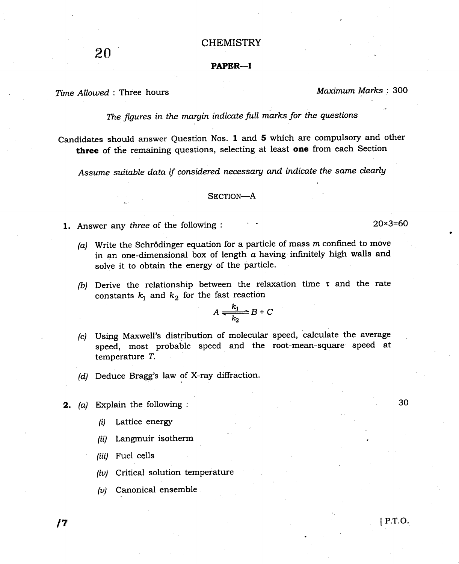## **CHEMISTRY**

## PAPER-I

Time Allowed : Three hours Maximum Marks : 300

The figures in the margin indicate fult marks for the questions

Candidates should answer Question Nos. 1 and 5 which are compulsory and other three of the remaining questions, selecting at least one from each Section

Assume suitable data if considered necessary and indicate the same clearly

## SECTION-A

- **1.** Answer any three of the following :  $20 \times 3 = 60$ 
	- (a) Write the Schrödinger equation for a particle of mass  $m$  confined to move in an one-dimensional box of length  $a$  having infinitely high walls and solve it to obtain the energy of the particle.
	- (b) Derive the relationship between the relaxation time  $\tau$  and the rate constants  $k_1$  and  $k_2$  for the fast reaction

$$
A \xrightarrow[k_1]{} B + C
$$

- (c) Using Maxwell's distribution of molecular speed, calculate the average speed, most probable speed and the root-mean-square speed at temperature T,
- $(d)$  Deduce Bragg's law of X-ray diffraction.
- 2. (a) Explain the following :
	- $(i)$  Lattice energy
	- $(ii)$  Langmuir isotherm
	- (iii) Fuel cells
	- (iv) Critical solution temperature
	- $(v)$  Canonical ensemble

30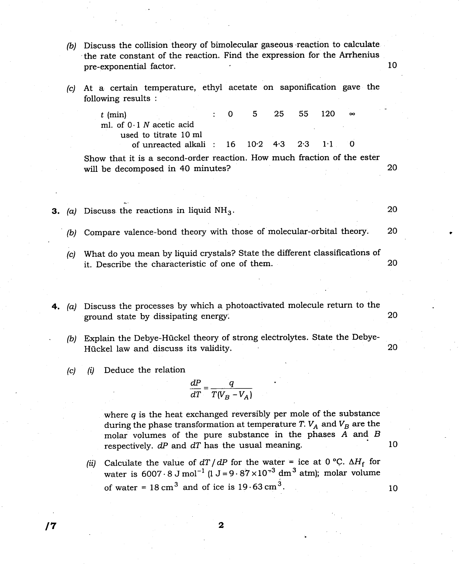- $(b)$  Discuss the collision theory of bimolecular gaseous reaction to calculate .the rate constant of the reaction. Find the expression for the Arrhenius pre-exponential factor. The contract of the contract of the contract of the contract of the contract of the contract of the contract of the contract of the contract of the contract of the contract of the contract of the co
- (c) At a certain temperature, ethyl acetate on saponification gave the following results :

| $t$ (min)                                                           |  | 5 | 25 55 | - 120 | $\infty$ |
|---------------------------------------------------------------------|--|---|-------|-------|----------|
| ml. of $0.1 N$ acetic acid                                          |  |   |       |       |          |
| used to titrate 10 ml                                               |  |   |       |       |          |
| of unreacted alkali : $16 \quad 10.2 \quad 4.3 \quad 2.3 \quad 1.1$ |  |   |       |       |          |

Show that it is a second-order reaction. How much fraction of the ester will be decomposed in 40 minutes? 20

- **3.** (a) Discuss the reactions in liquid  $NH<sub>3</sub>$ . 20
	- (b) Compare valence-bond theory with those of molecular-orbital theory. <sup>20</sup>
	- (c) What do you mean by liquid crystals? State the different classifications of it. Describe the characteristic of one of them. <sup>20</sup>

4. (a) Discuss the processes by which a photoactivated molecule return to the ground state by dissipating energy. 20

- (b) Explain the Debye-Hückel theory of strong electrolytes. State the Debye-Hückel law and discuss its validity. 20
- $(c)$  (i) Deduce the relation

$$
\frac{dP}{dT} = \frac{q}{T(V_B - V_A)}
$$

where  $q$  is the heat exchanged reversibly per mole of the substance during the phase transformation at temperature T.  $V_A$  and  $V_B$  are the molar volumes of the pure substance in the phases A and B respectively.  $dP$  and  $dT$  has the usual meaning.

(ii) Calculate the value of  $dT/dP$  for the water = ice at 0 °C.  $\Delta H_f$  for water is  $6007 \cdot 8 \text{ J mol}^{-1}$  ( $1 \text{ J} = 9 \cdot 87 \times 10^{-3} \text{ dm}^3$  atm); molar volume of water =  $18 \text{ cm}^3$  and of ice is  $19.63 \text{ cm}^3$ .

 $\sqrt{7}$  2

10

10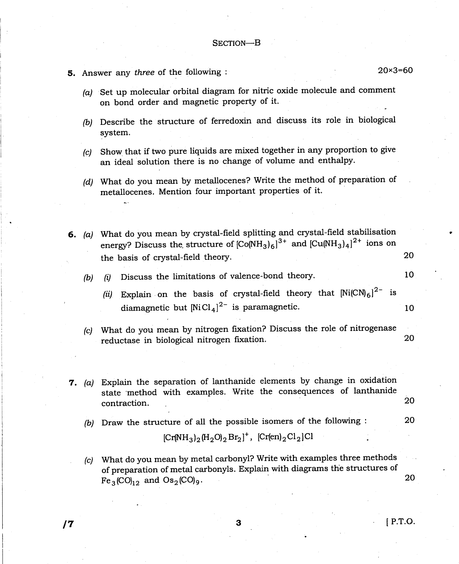- 5. Answer any three of the following  $\sim$  20x3=60
	- (a) Set up molecular orbital diagram for nitric oxide molecule and comment on bond order and magnetic property of it.
	- (b) Describe the structure of ferredoxin and discuss its role in biological system.
	- @) Show. that if two pure liquids are mixed together in any proportion to give an ideal solution there is no change of volume and enthalpy.
	- (d) What do you mean by metallocenes? Write the method of preparation of metallocenes. Mention four important properties of it.

6. (a) What do you mean by crystal-field spiitting and crystal-field stabilisation energy? Discuss the structure of  $[CO(NH_3)\overline{6}]^{3+}$  and  $[Cu(NH_3)\overline{4}]^{2+}$  ions on the basis of crystal-field theory. 20

(b)  $(i)$  Discuss the limitations of valence-bond theory.  $10$ 

- (ii) Explain on the basis of crystal-field theory that  $\text{Ni(CN}_{6})^{2-}$  is diamagnetic but  $[NiCl_4]^{2-}$  is paramagnetic. 10
- (c) What do you mean by nitrogen fixation? Discuss the role of nitrogenase reductase in biological nitrogen fixation. 20
- 7. (a) Explain the separation of lanthanide elements by change in oxidation state 'method with examples. Write the consequences of lanthanide contraction. 20
	- (b) Draw the structure of all the possible isomers of the following : 2O

$$
[Cr(NH_3)_2(H_2O)_2Br_2]^+, [Cr(en)_2Cl_2]Cl
$$

(c) What do you mean by metal carbonyl? Write with examples three methods of preparation of metal carbonyls. Explain with diagrams the structures of  $Fe_3(CO)_{12}$  and  $Os_2(CO)_{9}$ . 20